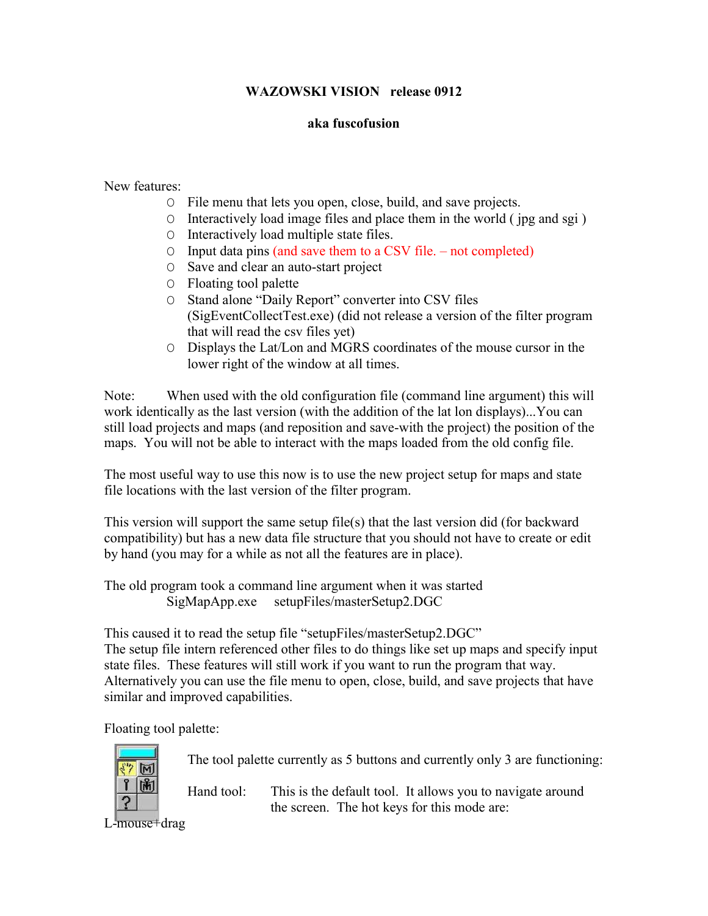## **WAZOWSKI VISION release 0912**

## **aka fuscofusion**

New features:

- O File menu that lets you open, close, build, and save projects.
- O Interactively load image files and place them in the world ( jpg and sgi )
- O Interactively load multiple state files.
- O Input data pins (and save them to a CSV file. not completed)
- O Save and clear an auto-start project
- O Floating tool palette
- O Stand alone "Daily Report" converter into CSV files (SigEventCollectTest.exe) (did not release a version of the filter program that will read the csv files yet)
- O Displays the Lat/Lon and MGRS coordinates of the mouse cursor in the lower right of the window at all times.

Note: When used with the old configuration file (command line argument) this will work identically as the last version (with the addition of the lat lon displays)...You can still load projects and maps (and reposition and save-with the project) the position of the maps. You will not be able to interact with the maps loaded from the old config file.

The most useful way to use this now is to use the new project setup for maps and state file locations with the last version of the filter program.

This version will support the same setup file(s) that the last version did (for backward compatibility) but has a new data file structure that you should not have to create or edit by hand (you may for a while as not all the features are in place).

The old program took a command line argument when it was started SigMapApp.exe setupFiles/masterSetup2.DGC

This caused it to read the setup file "setupFiles/masterSetup2.DGC" The setup file intern referenced other files to do things like set up maps and specify input state files. These features will still work if you want to run the program that way. Alternatively you can use the file menu to open, close, build, and save projects that have similar and improved capabilities.

Floating tool palette:



The tool palette currently as 5 buttons and currently only 3 are functioning:

Hand tool: This is the default tool. It allows you to navigate around the screen. The hot keys for this mode are:

L-mouse+drag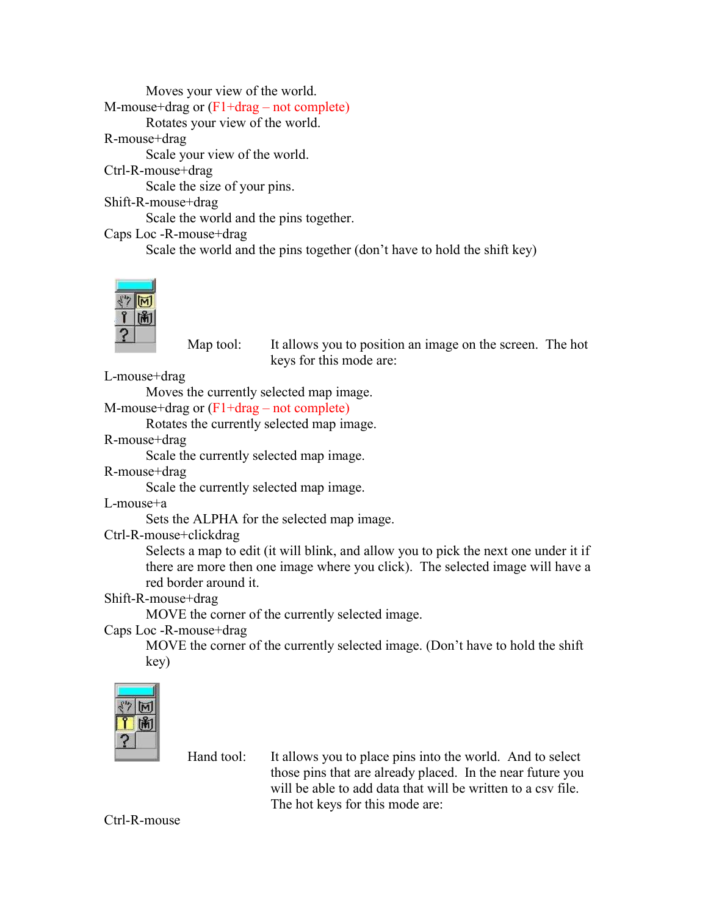Moves your view of the world. M-mouse+drag or (F1+drag – not complete) Rotates your view of the world. R-mouse+drag Scale your view of the world. Ctrl-R-mouse+drag Scale the size of your pins. Shift-R-mouse+drag Scale the world and the pins together. Caps Loc -R-mouse+drag Scale the world and the pins together (don't have to hold the shift key)



Map tool: It allows you to position an image on the screen. The hot keys for this mode are:

L-mouse+drag

Moves the currently selected map image.

M-mouse+drag or (F1+drag – not complete)

Rotates the currently selected map image.

R-mouse+drag

Scale the currently selected map image.

R-mouse+drag

Scale the currently selected map image.

L-mouse+a

Sets the ALPHA for the selected map image.

Ctrl-R-mouse+clickdrag

Selects a map to edit (it will blink, and allow you to pick the next one under it if there are more then one image where you click). The selected image will have a red border around it.

## Shift-R-mouse+drag

MOVE the corner of the currently selected image.

Caps Loc -R-mouse+drag

MOVE the corner of the currently selected image. (Don't have to hold the shift key)

Hand tool: It allows you to place pins into the world. And to select those pins that are already placed. In the near future you will be able to add data that will be written to a csv file. The hot keys for this mode are:

Ctrl-R-mouse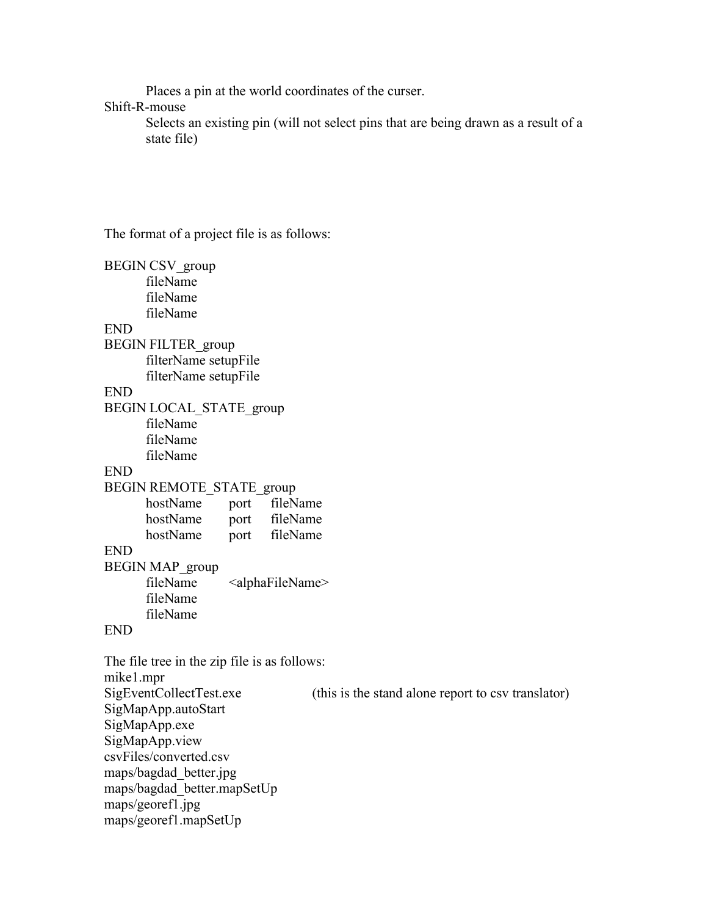Places a pin at the world coordinates of the curser.

## Shift-R-mouse

Selects an existing pin (will not select pins that are being drawn as a result of a state file)

The format of a project file is as follows:

BEGIN CSV\_group fileName fileName fileName END BEGIN FILTER\_group filterName setupFile filterName setupFile END BEGIN LOCAL\_STATE\_group fileName fileName fileName END BEGIN REMOTE\_STATE\_group hostName port fileName hostName port fileName hostName port fileName END BEGIN MAP\_group fileName <alphaFileName> fileName fileName END The file tree in the zip file is as follows: mike1.mpr SigEventCollectTest.exe (this is the stand alone report to csv translator) SigMapApp.autoStart

SigMapApp.exe SigMapApp.view csvFiles/converted.csv maps/bagdad\_better.jpg maps/bagdad\_better.mapSetUp maps/georef1.jpg maps/georef1.mapSetUp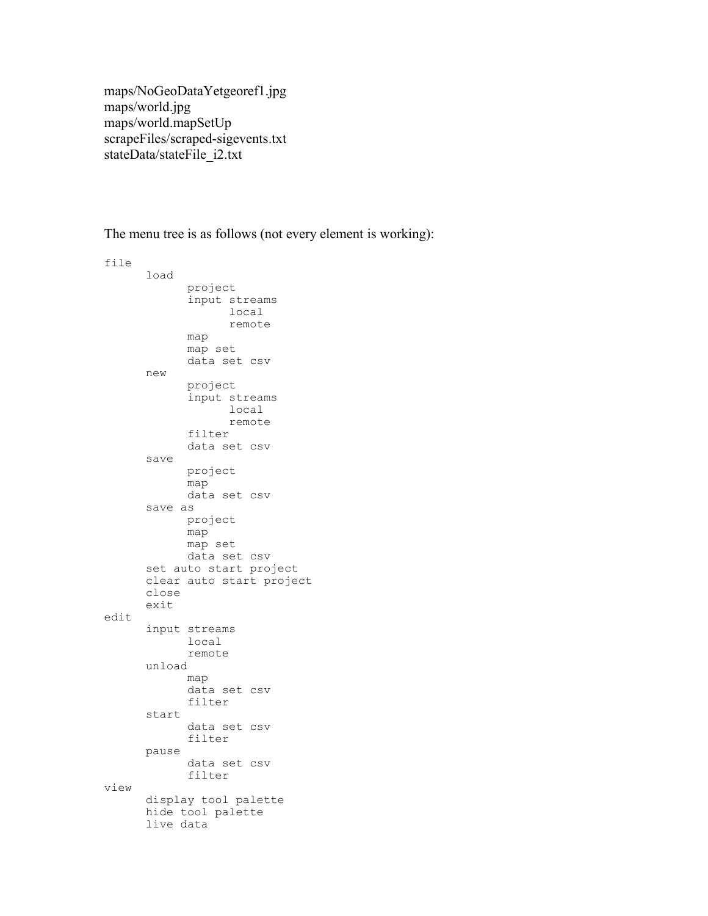maps/NoGeoDataYetgeoref1.jpg maps/world.jpg maps/world.mapSetUp scrapeFiles/scraped-sigevents.txt stateData/stateFile\_i2.txt

The menu tree is as follows (not every element is working):

file load project input streams local remote map map set data set csv new project input streams local remote filter data set csv save project map data set csv save as project map map set data set csv set auto start project clear auto start project close exit edit input streams local remote unload map data set csv filter start data set csv filter pause data set csv filter view display tool palette hide tool palette live data